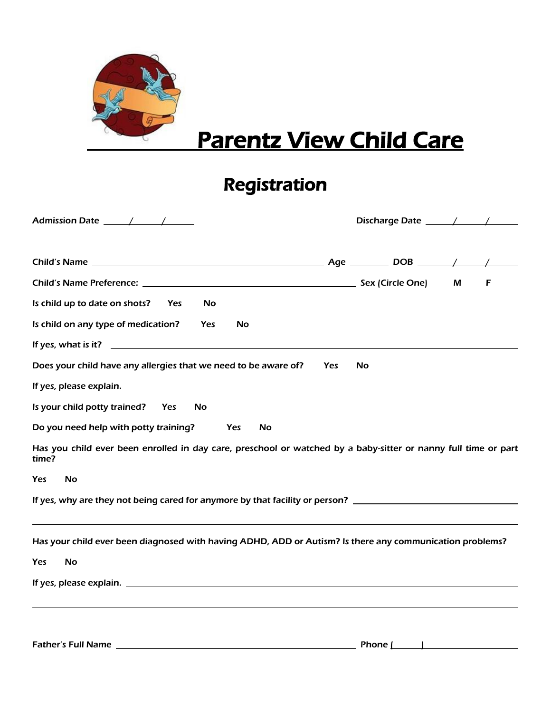

## **Parentz View Child Care**

## Registration

|                                                                                                                         |            | Discharge Date 11 / 11 |   |   |
|-------------------------------------------------------------------------------------------------------------------------|------------|------------------------|---|---|
|                                                                                                                         |            |                        |   |   |
|                                                                                                                         |            |                        | M | F |
| Is child up to date on shots?<br>Yes<br><b>No</b>                                                                       |            |                        |   |   |
| Is child on any type of medication?<br><b>No</b><br>Yes                                                                 |            |                        |   |   |
|                                                                                                                         |            |                        |   |   |
| Does your child have any allergies that we need to be aware of?                                                         | <b>Yes</b> | <b>No</b>              |   |   |
|                                                                                                                         |            |                        |   |   |
| Is your child potty trained? Yes<br><b>No</b>                                                                           |            |                        |   |   |
| Do you need help with potty training?<br>Yes<br>No                                                                      |            |                        |   |   |
| Has you child ever been enrolled in day care, preschool or watched by a baby-sitter or nanny full time or part<br>time? |            |                        |   |   |
| <b>No</b><br><b>Yes</b>                                                                                                 |            |                        |   |   |
| If yes, why are they not being cared for anymore by that facility or person? ________________________________           |            |                        |   |   |
| Has your child ever been diagnosed with having ADHD, ADD or Autism? Is there any communication problems?                |            |                        |   |   |
| Yes<br>No                                                                                                               |            |                        |   |   |
|                                                                                                                         |            |                        |   |   |
|                                                                                                                         |            |                        |   |   |
|                                                                                                                         |            |                        |   |   |
|                                                                                                                         |            |                        |   |   |

Father's Full Name  $\sqrt{P}$  Phone  $\sqrt{P}$